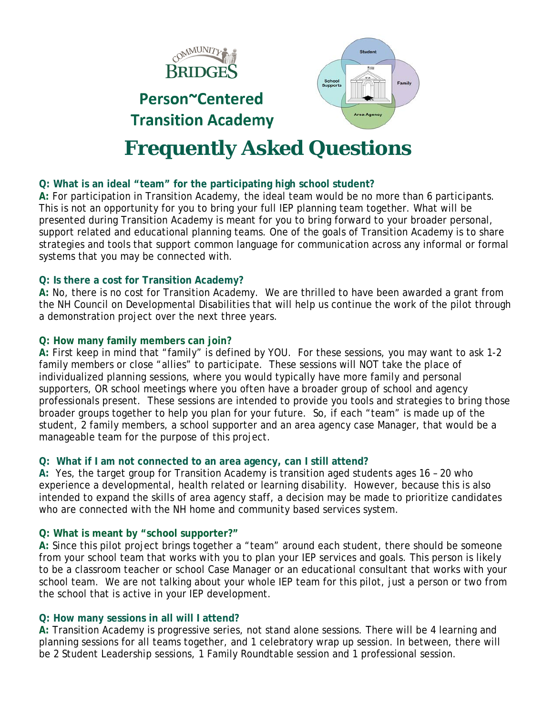

# **Q: What is an ideal "team" for the participating high school student?**

**A:** For participation in Transition Academy, the ideal team would be no more than 6 participants. This is not an opportunity for you to bring your full IEP planning team together. What will be presented during Transition Academy is meant for you to bring forward to your broader personal, support related and educational planning teams. One of the goals of Transition Academy is to share strategies and tools that support common language for communication across any informal or formal systems that you may be connected with.

# **Q: Is there a cost for Transition Academy?**

**A:** No, there is no cost for Transition Academy. We are thrilled to have been awarded a grant from the NH Council on Developmental Disabilities that will help us continue the work of the pilot through a demonstration project over the next three years.

# **Q: How many family members can join?**

**A:** First keep in mind that "family" is defined by YOU. For these sessions, you may want to ask 1-2 family members or close "allies" to participate. These sessions will NOT take the place of individualized planning sessions, where you would typically have more family and personal supporters, OR school meetings where you often have a broader group of school and agency professionals present. These sessions are intended to provide you tools and strategies to bring those broader groups together to help you plan for your future. So, if each "team" is made up of the student, 2 family members, a school supporter and an area agency case Manager, that would be a manageable team for the purpose of this project.

# **Q: What if I am not connected to an area agency, can I still attend?**

**A:** Yes, the target group for Transition Academy is transition aged students ages 16 – 20 who experience a developmental, health related or learning disability. However, because this is also intended to expand the skills of area agency staff, a decision may be made to prioritize candidates who are connected with the NH home and community based services system.

# **Q: What is meant by "school supporter?"**

**A:** Since this pilot project brings together a "team" around each student, there should be someone from your school team that works with you to plan your IEP services and goals. This person is likely to be a classroom teacher or school Case Manager or an educational consultant that works with your school team. We are not talking about your whole IEP team for this pilot, just a person or two from the school that is active in your IEP development.

# **Q: How many sessions in all will I attend?**

**A:** Transition Academy is progressive series, not stand alone sessions. There will be 4 learning and planning sessions for all teams together, and 1 celebratory wrap up session. In between, there will be 2 Student Leadership sessions, 1 Family Roundtable session and 1 professional session.